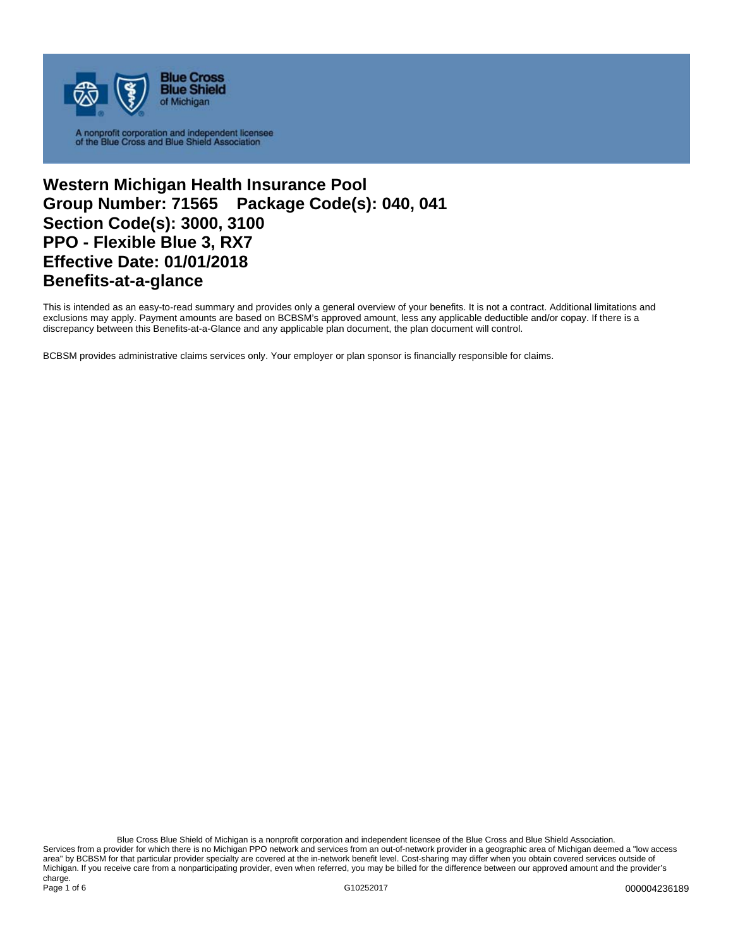

A nonprofit corporation and independent licensee<br>of the Blue Cross and Blue Shield Association

## **Western Michigan Health Insurance Pool Group Number: 71565 Package Code(s): 040, 041 Section Code(s): 3000, 3100 PPO - Flexible Blue 3, RX7 Effective Date: 01/01/2018 Benefits-at-a-glance**

This is intended as an easy-to-read summary and provides only a general overview of your benefits. It is not a contract. Additional limitations and exclusions may apply. Payment amounts are based on BCBSM's approved amount, less any applicable deductible and/or copay. If there is a discrepancy between this Benefits-at-a-Glance and any applicable plan document, the plan document will control.

BCBSM provides administrative claims services only. Your employer or plan sponsor is financially responsible for claims.

Blue Cross Blue Shield of Michigan is a nonprofit corporation and independent licensee of the Blue Cross and Blue Shield Association. Services from a provider for which there is no Michigan PPO network and services from an out-of-network provider in a geographic area of Michigan deemed a "low access area" by BCBSM for that particular provider specialty are covered at the in-network benefit level. Cost-sharing may differ when you obtain covered services outside of Michigan. If you receive care from a nonparticipating provider, even when referred, you may be billed for the difference between our approved amount and the provider's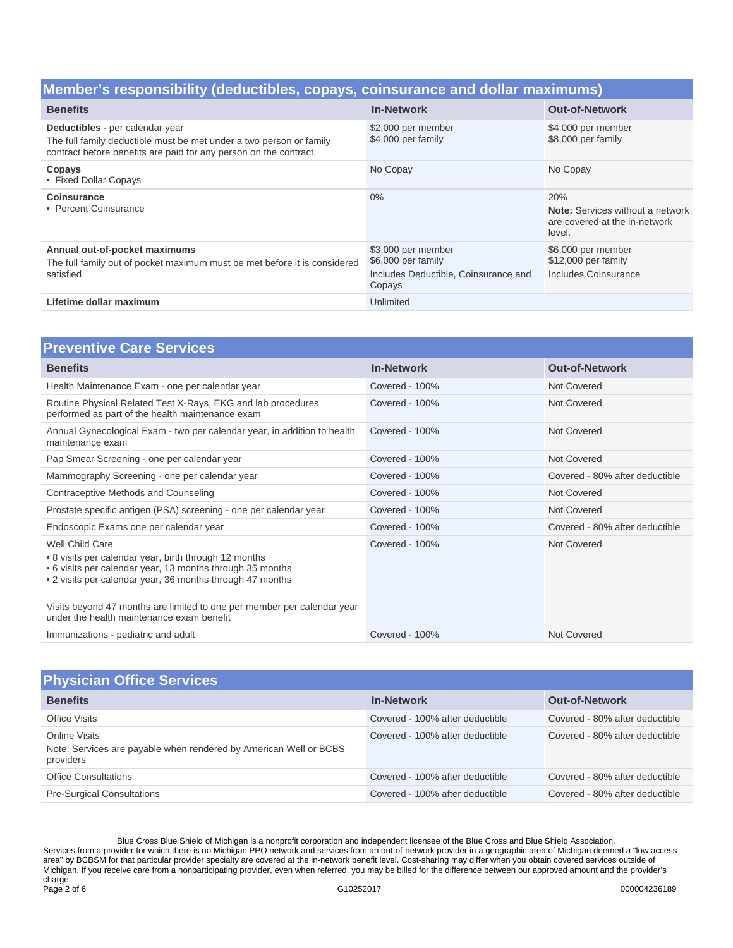## **Member's responsibility (deductibles, copays, coinsurance and dollar maximums)**

| <b>Benefits</b>                                                                                                                                                             | <b>In-Network</b>                                                                          | <b>Out-of-Network</b>                                                                     |
|-----------------------------------------------------------------------------------------------------------------------------------------------------------------------------|--------------------------------------------------------------------------------------------|-------------------------------------------------------------------------------------------|
| Deductibles - per calendar year<br>The full family deductible must be met under a two person or family<br>contract before benefits are paid for any person on the contract. | \$2,000 per member<br>\$4,000 per family                                                   | \$4,000 per member<br>\$8,000 per family                                                  |
| Copays<br>• Fixed Dollar Copays                                                                                                                                             | No Copay                                                                                   | No Copay                                                                                  |
| <b>Coinsurance</b><br>• Percent Coinsurance                                                                                                                                 | $0\%$                                                                                      | 20%<br><b>Note:</b> Services without a network<br>are covered at the in-network<br>level. |
| Annual out-of-pocket maximums<br>The full family out of pocket maximum must be met before it is considered<br>satisfied.                                                    | \$3,000 per member<br>\$6,000 per family<br>Includes Deductible, Coinsurance and<br>Copays | \$6,000 per member<br>\$12,000 per family<br>Includes Coinsurance                         |
| Lifetime dollar maximum                                                                                                                                                     | Unlimited                                                                                  |                                                                                           |

| <b>Preventive Care Services</b>                                                                                                                                                                                                                                                                                            |                   |                                |
|----------------------------------------------------------------------------------------------------------------------------------------------------------------------------------------------------------------------------------------------------------------------------------------------------------------------------|-------------------|--------------------------------|
| <b>Benefits</b>                                                                                                                                                                                                                                                                                                            | <b>In-Network</b> | <b>Out-of-Network</b>          |
| Health Maintenance Exam - one per calendar year                                                                                                                                                                                                                                                                            | Covered - 100%    | Not Covered                    |
| Routine Physical Related Test X-Rays, EKG and lab procedures<br>performed as part of the health maintenance exam                                                                                                                                                                                                           | Covered - 100%    | Not Covered                    |
| Annual Gynecological Exam - two per calendar year, in addition to health<br>maintenance exam                                                                                                                                                                                                                               | Covered - 100%    | Not Covered                    |
| Pap Smear Screening - one per calendar year                                                                                                                                                                                                                                                                                | Covered - 100%    | Not Covered                    |
| Mammography Screening - one per calendar year                                                                                                                                                                                                                                                                              | Covered - 100%    | Covered - 80% after deductible |
| Contraceptive Methods and Counseling                                                                                                                                                                                                                                                                                       | Covered - 100%    | Not Covered                    |
| Prostate specific antigen (PSA) screening - one per calendar year                                                                                                                                                                                                                                                          | Covered - 100%    | Not Covered                    |
| Endoscopic Exams one per calendar year                                                                                                                                                                                                                                                                                     | Covered - 100%    | Covered - 80% after deductible |
| Well Child Care<br>• 8 visits per calendar year, birth through 12 months<br>• 6 visits per calendar year, 13 months through 35 months<br>• 2 visits per calendar year, 36 months through 47 months<br>Visits beyond 47 months are limited to one per member per calendar year<br>under the health maintenance exam benefit | Covered - 100%    | Not Covered                    |
| Immunizations - pediatric and adult                                                                                                                                                                                                                                                                                        | Covered - 100%    | Not Covered                    |

| <b>Physician Office Services</b>                                                                |                                 |                                |
|-------------------------------------------------------------------------------------------------|---------------------------------|--------------------------------|
| <b>Benefits</b>                                                                                 | <b>In-Network</b>               | <b>Out-of-Network</b>          |
| <b>Office Visits</b>                                                                            | Covered - 100% after deductible | Covered - 80% after deductible |
| Online Visits<br>Note: Services are payable when rendered by American Well or BCBS<br>providers | Covered - 100% after deductible | Covered - 80% after deductible |
| <b>Office Consultations</b>                                                                     | Covered - 100% after deductible | Covered - 80% after deductible |
| <b>Pre-Surgical Consultations</b>                                                               | Covered - 100% after deductible | Covered - 80% after deductible |

Blue Cross Blue Shield of Michigan is a nonprofit corporation and independent licensee of the Blue Cross and Blue Shield Association. Services from a provider for which there is no Michigan PPO network and services from an out-of-network provider in a geographic area of Michigan deemed a "low access area" by BCBSM for that particular provider specialty are covered at the in-network benefit level. Cost-sharing may differ when you obtain covered services outside of Michigan. If you receive care from a nonparticipating provider, even when referred, you may be billed for the difference between our approved amount and the provider's charge.<br>Page 2 of 6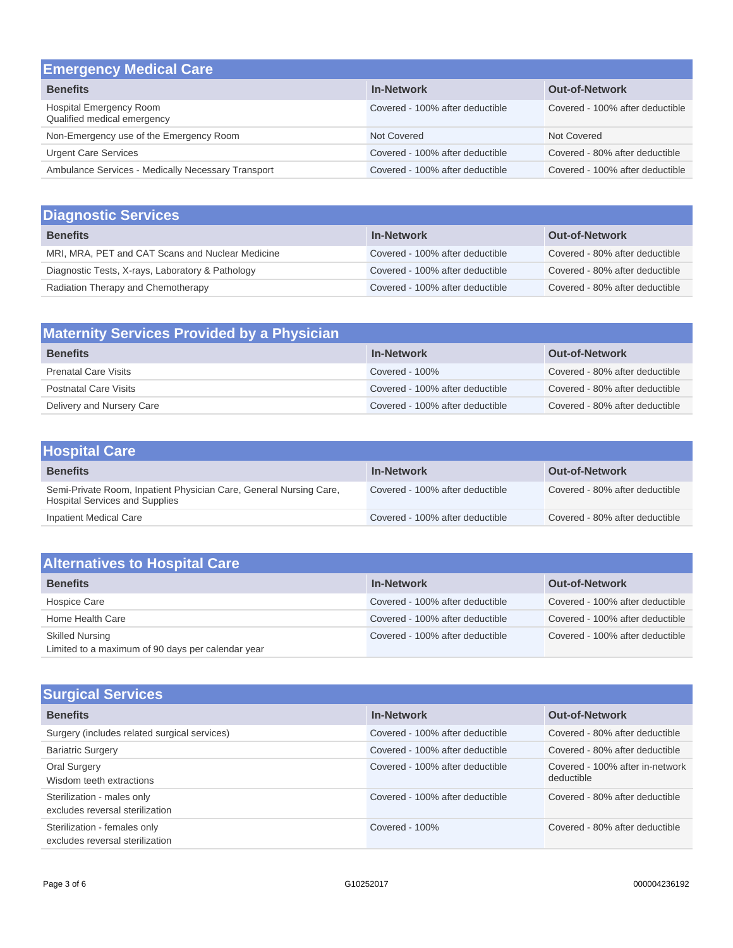| <b>Emergency Medical Care</b>                          |                                 |                                 |
|--------------------------------------------------------|---------------------------------|---------------------------------|
| <b>Benefits</b>                                        | <b>In-Network</b>               | <b>Out-of-Network</b>           |
| Hospital Emergency Room<br>Qualified medical emergency | Covered - 100% after deductible | Covered - 100% after deductible |
| Non-Emergency use of the Emergency Room                | Not Covered                     | Not Covered                     |
| <b>Urgent Care Services</b>                            | Covered - 100% after deductible | Covered - 80% after deductible  |
| Ambulance Services - Medically Necessary Transport     | Covered - 100% after deductible | Covered - 100% after deductible |

| <b>Diagnostic Services</b>                       |                                 |                                |
|--------------------------------------------------|---------------------------------|--------------------------------|
| <b>Benefits</b>                                  | <b>In-Network</b>               | <b>Out-of-Network</b>          |
| MRI, MRA, PET and CAT Scans and Nuclear Medicine | Covered - 100% after deductible | Covered - 80% after deductible |
| Diagnostic Tests, X-rays, Laboratory & Pathology | Covered - 100% after deductible | Covered - 80% after deductible |
| Radiation Therapy and Chemotherapy               | Covered - 100% after deductible | Covered - 80% after deductible |

| <b>Maternity Services Provided by a Physician</b> |                                 |                                |
|---------------------------------------------------|---------------------------------|--------------------------------|
| <b>Benefits</b>                                   | <b>In-Network</b>               | <b>Out-of-Network</b>          |
| <b>Prenatal Care Visits</b>                       | Covered - 100%                  | Covered - 80% after deductible |
| <b>Postnatal Care Visits</b>                      | Covered - 100% after deductible | Covered - 80% after deductible |
| Delivery and Nursery Care                         | Covered - 100% after deductible | Covered - 80% after deductible |

| <b>Hospital Care</b>                                                                                        |                                 |                                |
|-------------------------------------------------------------------------------------------------------------|---------------------------------|--------------------------------|
| <b>Benefits</b>                                                                                             | <b>In-Network</b>               | <b>Out-of-Network</b>          |
| Semi-Private Room, Inpatient Physician Care, General Nursing Care,<br><b>Hospital Services and Supplies</b> | Covered - 100% after deductible | Covered - 80% after deductible |
| <b>Inpatient Medical Care</b>                                                                               | Covered - 100% after deductible | Covered - 80% after deductible |

## **Alternatives to Hospital Care**

| <b>Benefits</b>                                   | <b>In-Network</b>               | <b>Out-of-Network</b>           |
|---------------------------------------------------|---------------------------------|---------------------------------|
| Hospice Care                                      | Covered - 100% after deductible | Covered - 100% after deductible |
| Home Health Care                                  | Covered - 100% after deductible | Covered - 100% after deductible |
| <b>Skilled Nursing</b>                            | Covered - 100% after deductible | Covered - 100% after deductible |
| Limited to a maximum of 90 days per calendar year |                                 |                                 |

| <b>Surgical Services</b>                                        |                                 |                                               |
|-----------------------------------------------------------------|---------------------------------|-----------------------------------------------|
| <b>Benefits</b>                                                 | <b>In-Network</b>               | <b>Out-of-Network</b>                         |
| Surgery (includes related surgical services)                    | Covered - 100% after deductible | Covered - 80% after deductible                |
| <b>Bariatric Surgery</b>                                        | Covered - 100% after deductible | Covered - 80% after deductible                |
| <b>Oral Surgery</b><br>Wisdom teeth extractions                 | Covered - 100% after deductible | Covered - 100% after in-network<br>deductible |
| Sterilization - males only<br>excludes reversal sterilization   | Covered - 100% after deductible | Covered - 80% after deductible                |
| Sterilization - females only<br>excludes reversal sterilization | Covered - 100%                  | Covered - 80% after deductible                |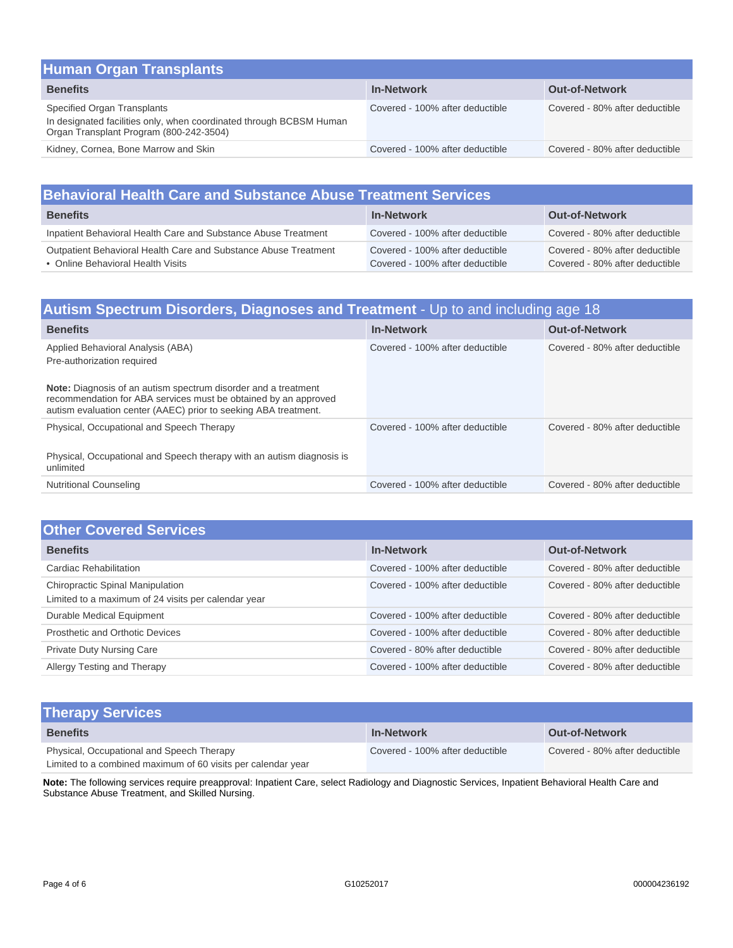| <b>Human Organ Transplants</b>                                                                                                                |                                 |                                |
|-----------------------------------------------------------------------------------------------------------------------------------------------|---------------------------------|--------------------------------|
| <b>Benefits</b>                                                                                                                               | <b>In-Network</b>               | <b>Out-of-Network</b>          |
| Specified Organ Transplants<br>In designated facilities only, when coordinated through BCBSM Human<br>Organ Transplant Program (800-242-3504) | Covered - 100% after deductible | Covered - 80% after deductible |
| Kidney, Cornea, Bone Marrow and Skin                                                                                                          | Covered - 100% after deductible | Covered - 80% after deductible |

| <b>Behavioral Health Care and Substance Abuse Treatment Services</b>                                 |                                                                    |                                                                  |
|------------------------------------------------------------------------------------------------------|--------------------------------------------------------------------|------------------------------------------------------------------|
| <b>Benefits</b>                                                                                      | <b>In-Network</b>                                                  | <b>Out-of-Network</b>                                            |
| Inpatient Behavioral Health Care and Substance Abuse Treatment                                       | Covered - 100% after deductible                                    | Covered - 80% after deductible                                   |
| Outpatient Behavioral Health Care and Substance Abuse Treatment<br>• Online Behavioral Health Visits | Covered - 100% after deductible<br>Covered - 100% after deductible | Covered - 80% after deductible<br>Covered - 80% after deductible |

| Autism Spectrum Disorders, Diagnoses and Treatment - Up to and including age 18                                                                                                                                                                                                |                                 |                                |
|--------------------------------------------------------------------------------------------------------------------------------------------------------------------------------------------------------------------------------------------------------------------------------|---------------------------------|--------------------------------|
| <b>Benefits</b>                                                                                                                                                                                                                                                                | <b>In-Network</b>               | <b>Out-of-Network</b>          |
| Applied Behavioral Analysis (ABA)<br>Pre-authorization required<br><b>Note:</b> Diagnosis of an autism spectrum disorder and a treatment<br>recommendation for ABA services must be obtained by an approved<br>autism evaluation center (AAEC) prior to seeking ABA treatment. | Covered - 100% after deductible | Covered - 80% after deductible |
| Physical, Occupational and Speech Therapy<br>Physical, Occupational and Speech therapy with an autism diagnosis is<br>unlimited                                                                                                                                                | Covered - 100% after deductible | Covered - 80% after deductible |
| <b>Nutritional Counseling</b>                                                                                                                                                                                                                                                  | Covered - 100% after deductible | Covered - 80% after deductible |

| <b>Other Covered Services</b>                                                           |                                 |                                |
|-----------------------------------------------------------------------------------------|---------------------------------|--------------------------------|
| <b>Benefits</b>                                                                         | <b>In-Network</b>               | <b>Out-of-Network</b>          |
| Cardiac Rehabilitation                                                                  | Covered - 100% after deductible | Covered - 80% after deductible |
| Chiropractic Spinal Manipulation<br>Limited to a maximum of 24 visits per calendar year | Covered - 100% after deductible | Covered - 80% after deductible |
| Durable Medical Equipment                                                               | Covered - 100% after deductible | Covered - 80% after deductible |
| Prosthetic and Orthotic Devices                                                         | Covered - 100% after deductible | Covered - 80% after deductible |
| <b>Private Duty Nursing Care</b>                                                        | Covered - 80% after deductible  | Covered - 80% after deductible |
| Allergy Testing and Therapy                                                             | Covered - 100% after deductible | Covered - 80% after deductible |

| <b>Therapy Services</b>                                                                                   |                                 |                                |
|-----------------------------------------------------------------------------------------------------------|---------------------------------|--------------------------------|
| <b>Benefits</b>                                                                                           | <b>In-Network</b>               | <b>Out-of-Network</b>          |
| Physical, Occupational and Speech Therapy<br>Limited to a combined maximum of 60 visits per calendar year | Covered - 100% after deductible | Covered - 80% after deductible |

**Note:** The following services require preapproval: Inpatient Care, select Radiology and Diagnostic Services, Inpatient Behavioral Health Care and Substance Abuse Treatment, and Skilled Nursing.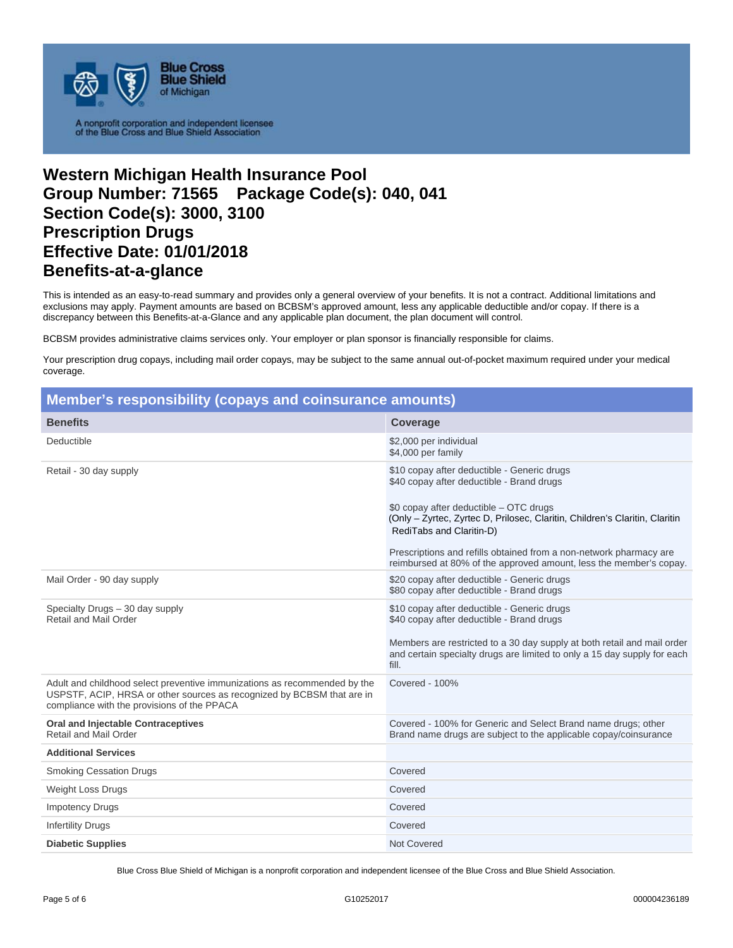

A nonprofit corporation and independent licensee<br>of the Blue Cross and Blue Shield Association

## **Western Michigan Health Insurance Pool Group Number: 71565 Package Code(s): 040, 041 Section Code(s): 3000, 3100 Prescription Drugs Effective Date: 01/01/2018 Benefits-at-a-glance**

This is intended as an easy-to-read summary and provides only a general overview of your benefits. It is not a contract. Additional limitations and exclusions may apply. Payment amounts are based on BCBSM's approved amount, less any applicable deductible and/or copay. If there is a discrepancy between this Benefits-at-a-Glance and any applicable plan document, the plan document will control.

BCBSM provides administrative claims services only. Your employer or plan sponsor is financially responsible for claims.

Your prescription drug copays, including mail order copays, may be subject to the same annual out-of-pocket maximum required under your medical coverage.

| <b>Member's responsibility (copays and coinsurance amounts)</b>                                                                                                                                    |                                                                                                                                                                                                                                                                                                                                                                                           |  |
|----------------------------------------------------------------------------------------------------------------------------------------------------------------------------------------------------|-------------------------------------------------------------------------------------------------------------------------------------------------------------------------------------------------------------------------------------------------------------------------------------------------------------------------------------------------------------------------------------------|--|
| <b>Benefits</b>                                                                                                                                                                                    | <b>Coverage</b>                                                                                                                                                                                                                                                                                                                                                                           |  |
| Deductible                                                                                                                                                                                         | \$2,000 per individual<br>\$4,000 per family                                                                                                                                                                                                                                                                                                                                              |  |
| Retail - 30 day supply                                                                                                                                                                             | \$10 copay after deductible - Generic drugs<br>\$40 copay after deductible - Brand drugs<br>\$0 copay after deductible - OTC drugs<br>(Only - Zyrtec, Zyrtec D, Prilosec, Claritin, Children's Claritin, Claritin<br>RediTabs and Claritin-D)<br>Prescriptions and refills obtained from a non-network pharmacy are<br>reimbursed at 80% of the approved amount, less the member's copay. |  |
| Mail Order - 90 day supply                                                                                                                                                                         | \$20 copay after deductible - Generic drugs<br>\$80 copay after deductible - Brand drugs                                                                                                                                                                                                                                                                                                  |  |
| Specialty Drugs - 30 day supply<br>Retail and Mail Order                                                                                                                                           | \$10 copay after deductible - Generic drugs<br>\$40 copay after deductible - Brand drugs<br>Members are restricted to a 30 day supply at both retail and mail order<br>and certain specialty drugs are limited to only a 15 day supply for each<br>fill.                                                                                                                                  |  |
| Adult and childhood select preventive immunizations as recommended by the<br>USPSTF, ACIP, HRSA or other sources as recognized by BCBSM that are in<br>compliance with the provisions of the PPACA | Covered - 100%                                                                                                                                                                                                                                                                                                                                                                            |  |
| <b>Oral and Injectable Contraceptives</b><br>Retail and Mail Order                                                                                                                                 | Covered - 100% for Generic and Select Brand name drugs; other<br>Brand name drugs are subject to the applicable copay/coinsurance                                                                                                                                                                                                                                                         |  |
| <b>Additional Services</b>                                                                                                                                                                         |                                                                                                                                                                                                                                                                                                                                                                                           |  |
| <b>Smoking Cessation Drugs</b>                                                                                                                                                                     | Covered                                                                                                                                                                                                                                                                                                                                                                                   |  |
| <b>Weight Loss Drugs</b>                                                                                                                                                                           | Covered                                                                                                                                                                                                                                                                                                                                                                                   |  |
| <b>Impotency Drugs</b>                                                                                                                                                                             | Covered                                                                                                                                                                                                                                                                                                                                                                                   |  |
| <b>Infertility Drugs</b>                                                                                                                                                                           | Covered                                                                                                                                                                                                                                                                                                                                                                                   |  |
| <b>Diabetic Supplies</b>                                                                                                                                                                           | <b>Not Covered</b>                                                                                                                                                                                                                                                                                                                                                                        |  |

Blue Cross Blue Shield of Michigan is a nonprofit corporation and independent licensee of the Blue Cross and Blue Shield Association.